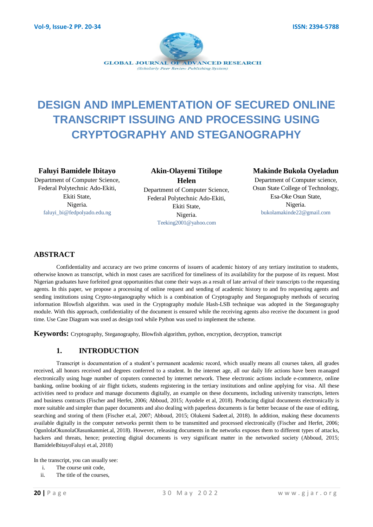

# **DESIGN AND IMPLEMENTATION OF SECURED ONLINE TRANSCRIPT ISSUING AND PROCESSING USING CRYPTOGRAPHY AND STEGANOGRAPHY**

#### **Faluyi Bamidele Ibitayo**

Department of Computer Science, Federal Polytechnic Ado-Ekiti, Ekiti State, Nigeria. [faluyi\\_bi@fedpolyado.e](mailto:faluyi_bi@fedpolyado)du.ng

**Akin-Olayemi Titilope Helen** Department of Computer Science, Federal Polytechnic Ado-Ekiti, Ekiti State, Nigeria. Teeking2001@yahoo.com

## **Makinde Bukola Oyeladun**

Department of Computer science, Osun State College of Technology, Esa-Oke Osun State, Nigeria. bukolamakinde22@gmail.com

# **ABSTRACT**

Confidentiality and accuracy are two prime concerns of issuers of academic history of any tertiary institution to students, otherwise known as transcript, which in most cases are sacrificed for timeliness of its availability for the purpose of its request. Most Nigerian graduates have forfeited great opportunities that come their ways as a result of late arrival of their transcripts to the requesting agents. In this paper, we propose a processing of online request and sending of academic history to and fro requesting agents and sending institutions using Crypto-steganography which is a combination of Cryptography and Steganography methods of securing information Blowfish algorithm. was used in the Cryptography module Hash-LSB technique was adopted in the Steganography module. With this approach, confidentiality of the document is ensured while the receiving agents also receive the document in good time. Use Case Diagram was used as design tool while Python was used to implement the scheme.

**Keywords:** Cryptography, Steganography, Blowfish algorithm, python, encryption, decryption, transcript

## **1. INTRODUCTION**

Transcript is documentation of a student"s permanent academic record, which usually means all courses taken, all grades received, all honors received and degrees conferred to a student. In the internet age, all our daily life actions have been managed electronically using huge number of coputers connected by internet network. These electronic actions include e-commerce, online banking, online booking of air flight tickets, students registering in the tertiary institutions and online applying for visa. All these activities need to produce and manage documents digitally, an example on these documents, including university transcripts, letters and business contracts (Fischer and Herfet, 2006; Abboud, 2015; Ayodele et al, 2018). Producing digital documents electronically is more suitable and simpler than paper documents and also dealing with paperless documents is far better because of the ease of editing, searching and storing of them (Fischer et.al, 2007; Abboud, 2015; Olukemi Sadeet.al, 2018). In addition, making these documents available digitally in the computer networks permit them to be transmitted and processed electronically (Fischer and Herfet, 2006; OgunlolaOkunolaOlasunkanmiet.al, 2018). However, releasing documents in the networks exposes them to different types of attacks, hackers and threats, hence; protecting digital documents is very significant matter in the networked society (Abboud, 2015; BamideleIbitayoFaluyi et.al, 2018)

In the transcript, you can usually see:

- i. The course unit code,
- ii. The title of the courses,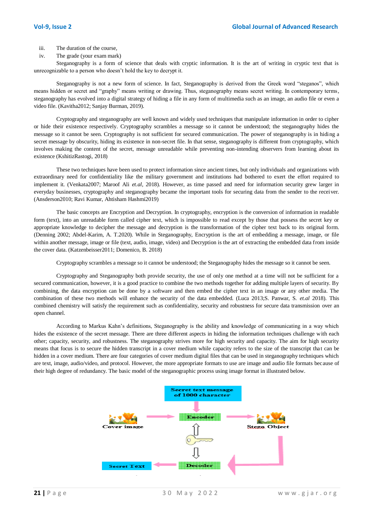- iii. The duration of the course,
- iv. The grade (your exam mark)

Steganography is a form of science that deals with cryptic information. It is the art of writing in cryptic text that is unrecognizable to a person who doesn"t hold the key to decrypt it.

Steganography is not a new form of science. In fact, Steganography is derived from the Greek word "steganos", which means hidden or secret and "graphy" means writing or drawing. Thus, steganography means secret writing. In contemporary terms, steganography has evolved into a digital strategy of hiding a file in any form of multimedia such as an image, an audio file or even a video file. (Kavitha2012; Sanjay Burman, 2019).

Cryptography and steganography are well known and widely used techniques that manipulate information in order to cipher or hide their existence respectively. Cryptography scrambles a message so it cannot be understood; the steganography hides the message so it cannot be seen. Cryptography is not sufficient for secured communication. The power of steganography is in hiding a secret message by obscurity, hiding its existence in non-secret file. In that sense, steganography is different from cryptography, which involves making the content of the secret, message unreadable while preventing non-intending observers from learning about its existence (KshitizRastogi, 2018)

These two techniques have been used to protect information since ancient times, but only individuals and organizations with extraordinary need for confidentiality like the military government and institutions had bothered to exert the effort required to implement it. (Venkata2007; Maroof Ali *et.al*, 2018). However, as time passed and need for information security grew larger in everyday businesses, cryptography and steganography became the important tools for securing data from the sender to the receiver. (Ansderson2010; Ravi Kumar, Ahtisham Hashmi2019)

The basic concepts are Encryption and Decryption. In cryptography, encryption is the conversion of information in readable form (text), into an unreadable form called cipher text, which is impossible to read except by those that possess the secret key or appropriate knowledge to decipher the message and decryption is the transformation of the cipher text back to its original form. (Denning 2002; Abdel-Karim, A. T.2020). While in Steganography, Encryption is the art of embedding a message, image, or file within another message, image or file (text, audio, image, video) and Decryption is the art of extracting the embedded data from inside the cover data. (Katzenbeisser2011; Domenico, B. 2018)

Cryptography scrambles a message so it cannot be understood; the Steganography hides the message so it cannot be seen.

Cryptography and Steganography both provide security, the use of only one method at a time will not be sufficient for a secured communication, however, it is a good practice to combine the two methods together for adding multiple layers of security. By combining, the data encryption can be done by a software and then embed the cipher text in an image or any other media. The combination of these two methods will enhance the security of the data embedded. (Luca 2013;S. Panwar, S. *et.al* 2018). This combined chemistry will satisfy the requirement such as confidentiality, security and robustness for secure data transmission over an open channel.

According to Markus Kahn"s definitions, Steganography is the ability and knowledge of communicating in a way which hides the existence of the secret message. There are three different aspects in hiding the information techniques challenge with each other; capacity, security, and robustness. The steganography strives more for high security and capacity. The aim for high security means that focus is to secure the hidden transcript in a cover medium while capacity refers to the size of the transcript tha t can be hidden in a cover medium. There are four categories of cover medium digital files that can be used in steganography techniques which are text, image, audio/video, and protocol. However, the more appropriate formats to use are image and audio file formats because of their high degree of redundancy. The basic model of the steganographic process using image format in illustrated below.

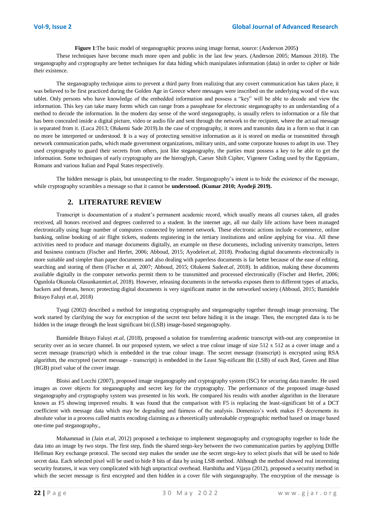**Figure 1**:The basic model of steganographic process using image format, source: (Anderson 2005**)**

These techniques have become much more open and public in the last few years. (Anderson 2005; Mamoun 2018). The steganography and cryptography are better techniques for data hiding which manipulates information (data) in order to cipher or hide their existence.

The steganography technique aims to prevent a third party from realizing that any covert communication has taken place, it was believed to be first practiced during the Golden Age in Greece where messages were inscribed on the underlying wood of the wax tablet. Only persons who have knowledge of the embedded information and possess a "key" will be able to decode and view the information. This key can take many forms which can range from a passphrase for electronic steganography to an understanding of a method to decode the information. In the modern day sense of the word steganography, is usually refers to information or a file that has been concealed inside a digital picture, video or audio file and sent through the network to the recipient, where the actual message is separated from it. (Luca 2013; Olukemi Sade 2019).In the case of cryptography, it stores and transmits data in a form so that it can no more be interpreted or understood. It is a way of protecting sensitive information as it is stored on media or transmitted through network communication paths, which made government organizations, military units, and some corporate houses to adopt its use. They used cryptography to guard their secrets from others, just like steganography, the parties must possess a key to be able to get the information. Some techniques of early cryptography are the hieroglyph, Caeser Shift Cipher, Vigenere Coding used by the Egyptians, Romans and various Italian and Papal States respectively.

The hidden message is plain, but unsuspecting to the reader. Steganography"s intent is to hide the existence of the message, while cryptography scrambles a message so that it cannot be **understood. (Kumar 2010; Ayodeji 2019).** 

#### **2. LITERATURE REVIEW**

Transcript is documentation of a student"s permanent academic record, which usually means all courses taken, all grades received, all honors received and degrees conferred to a student. In the internet age, all our daily life actions have been managed electronically using huge number of computers connected by internet network. These electronic actions include e-commerce, online banking, online booking of air flight tickets, students registering in the tertiary institutions and online applying for visa. All these activities need to produce and manage documents digitally, an example on these documents, including university transcripts, letters and business contracts (Fischer and Herfet, 2006; Abboud, 2015; Ayodele*et.al*, 2018). Producing digital documents electronically is more suitable and simpler than paper documents and also dealing with paperless documents is far better because of the ease of editing, searching and storing of them (Fischer et al, 2007; Abboud, 2015; Olukemi Sade*et.al*, 2018). In addition, making these documents available digitally in the computer networks permit them to be transmitted and processed electronically (Fischer and Herfet, 2006; Ogunlola Okunola Olasunkanmi*et.al*, 2018). However, releasing documents in the networks exposes them to different types of attacks, hackers and threats, hence; protecting digital documents is very significant matter in the networked society (Abboud, 2015; Bamidele Ibitayo Faluyi *et.al*, 2018)

Tyagi (2002) described a method for integrating cryptography and steganography together through image processing. The work started by clarifying the way for encryption of the secret text before hiding it in the image. Then, the encrypted data is to be hidden in the image through the least significant bit (LSB) image-based steganography.

Bamidele Ibitayo Faluyi *et.al*, (2018), proposed a solution for transferring academic transcript with-out any compromise in security over an in secure channel. In our proposed system, we select a true colour image of size 512 x 512 as a cover image and a secret message (transcript) which is embedded in the true colour image. The secret message (transcript) is encrypted using RSA algorithm, the encrypted (secret message - transcript) is embedded in the Least Sig-nificant Bit (LSB) of each Red, Green and Blue (RGB) pixel value of the cover image.

Bloisi and Locchi (2007), proposed image steganography and cryptography system (ISC) for securing data transfer. He used images as cover objects for steganography and secret key for the cryptography. The performance of the proposed image-based steganography and cryptography system was presented in his work. He compared his results with another algorithm in the literature known as F5 showing improved results. It was found that the comparison with F5 is replacing the least-significant bit of a DCT coefficient with message data which may be degrading and fairness of the analysis. Domenico"s work makes F5 decrements its absolute value in a process called matrix encoding claiming as a theoretically unbreakable cryptographic method based on image based one-time pad steganography.,

Mohammad in (Jain *et.al*, 2012) proposed a technique to implement steganography and cryptography together to hide the data into an image by two steps. The first step, finds the shared stego-key between the two communication parties by applying Diffle Hellman Key exchange protocol. The second step makes the sender use the secret stego-key to select pixels that will be used to hide secret data. Each selected pixel will be used to hide 8 bits of data by using LSB method. Although the method showed real interesting security features, it was very complicated with high unpractical overhead. Harshitha and Vijaya (2012), proposed a security method in which the secret message is first encrypted and then hidden in a cover file with steganography. The encryption of the message is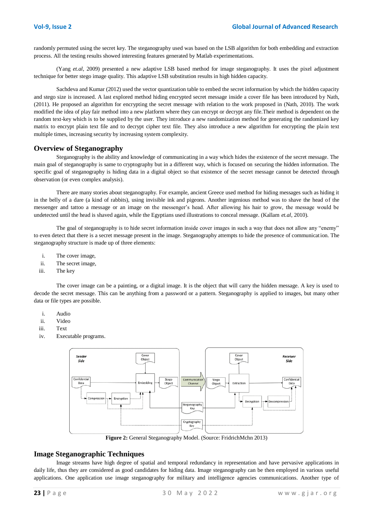randomly permuted using the secret key. The steganography used was based on the LSB algorithm for both embedding and extraction process. All the testing results showed interesting features generated by Matlab experimentations.

(Yang *et.al*, 2009) presented a new adaptive LSB based method for image steganography. It uses the pixel adjustment technique for better stego image quality. This adaptive LSB substitution results in high hidden capacity.

Sachdeva and Kumar (2012) used the vector quantization table to embed the secret information by which the hidden capacity and stego size is increased. A last explored method hiding encrypted secret message inside a cover file has been introduced by Nath, (2011). He proposed an algorithm for encrypting the secret message with relation to the work proposed in (Nath, 2010). The work modified the idea of play fair method into a new platform where they can encrypt or decrypt any file.Their method is dependent on the random text-key which is to be supplied by the user. They introduce a new randomization method for generating the randomized key matrix to encrypt plain text file and to decrypt cipher text file. They also introduce a new algorithm for encrypting the plain text multiple times, increasing security by increasing system complexity.

#### **Overview of Steganography**

Steganography is the ability and knowledge of communicating in a way which hides the existence of the secret message. The main goal of steganography is same to cryptography but in a different way, which is focused on securing the hidden information. The specific goal of steganography is hiding data in a digital object so that existence of the secret message cannot be detected through observation (or even complex analysis).

There are many stories about steganography. For example, ancient Greece used method for hiding messages such as hiding it in the belly of a dare (a kind of rabbits), using invisible ink and pigeons. Another ingenious method was to shave the head of the messenger and tattoo a message or an image on the messenger"s head. After allowing his hair to grow, the message would be undetected until the head is shaved again, while the Egyptians used illustrations to conceal message. (Kallam *et.al*, 2010).

The goal of steganography is to hide secret information inside cover images in such a way that does not allow any "enemy" to even detect that there is a secret message present in the image. Steganography attempts to hide the presence of communication. The steganography structure is made up of three elements:

- i. The cover image,
- ii. The secret image,
- iii. The key

The cover image can be a painting, or a digital image. It is the object that will carry the hidden message. A key is used to decode the secret message. This can be anything from a password or a pattern. Steganography is applied to images, but many other data or file types are possible.

- i. Audio
- ii. Video
- iii. Text
- iv. Executable programs.



**Figure 2:** General Steganography Model. (Source: FridrichMchn 2013)

#### **Image Steganographic Techniques**

Image streams have high degree of spatial and temporal redundancy in representation and have pervasive applications in daily life, thus they are considered as good candidates for hiding data. Image steganography can be then employed in various useful applications. One application use image steganography for military and intelligence agencies communications. Another type of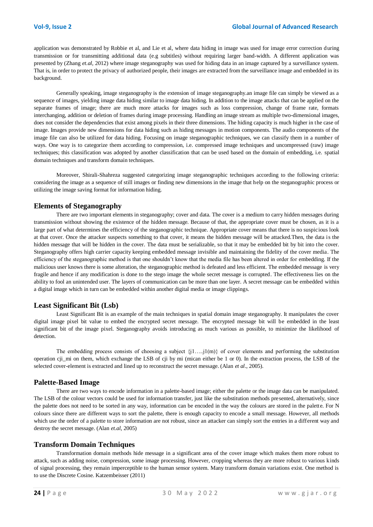application was demonstrated by Robbie et al, and Lie et al, where data hiding in image was used for image error correction during transmission or for transmitting additional data (e.g subtitles) without requiring larger band-width. A different application was presented by (Zhang *et.al*, 2012) where image steganography was used for hiding data in an image captured by a surveillance system. That is, in order to protect the privacy of authorized people, their images are extracted from the surveillance image and embedded in its background.

Generally speaking, image steganography is the extension of image steganography.an image file can simply be viewed as a sequence of images, yielding image data hiding similar to image data hiding. In addition to the image attacks that can be applied on the separate frames of image; there are much more attacks for images such as loss compression, change of frame rate, formats interchanging, addition or deletion of frames during image processing. Handling an image stream as multiple two-dimensional images, does not consider the dependencies that exist among pixels in their three dimensions. The hiding capacity is much higher in the case of image. Images provide new dimensions for data hiding such as hiding messages in motion components. The audio components of the image file can also be utilized for data hiding. Focusing on image steganographic techniques, we can classify them in a number of ways. One way is to categorize them according to compression, i.e. compressed image techniques and uncompressed (raw) image techniques; this classification was adopted by another classification that can be used based on the domain of embedding, i.e. spatial domain techniques and transform domain techniques.

Moreover, Shirali-Shahreza suggested categorizing image steganographic techniques according to the following criteria: considering the image as a sequence of still images or finding new dimensions in the image that help on the steganographic process or utilizing the image saving format for information hiding.

## **Elements of Steganography**

There are two important elements in steganography; cover and data. The cover is a medium to carry hidden messages during transmission without showing the existence of the hidden message. Because of that, the appropriate cover must be chosen, as it is a large part of what determines the efficiency of the steganographic technique. Appropriate cover means that there is no suspicious look at that cover. Once the attacker suspects something to that cover, it means the hidden message will be attacked.Then, the data is the hidden message that will be hidden in the cover. The data must be serializable, so that it may be embedded bit by bit into the cover. Steganography offers high carrier capacity keeping embedded message invisible and maintaining the fidelity of the cover media. The efficiency of the steganographic method is that one shouldn"t know that the media file has been altered in order for embedding. If the malicious user knows there is some alteration, the steganographic method is defeated and less efficient. The embedded message is very fragile and hence if any modification is done to the stego image the whole secret message is corrupted. The effectiveness lies on the ability to fool an unintended user. The layers of communication can be more than one layer. A secret message can be embedded within a digital image which in turn can be embedded within another digital media or image clippings.

## **Least Significant Bit (Lsb)**

Least Significant Bit is an example of the main techniques in spatial domain image steganography. It manipulates the cover digital image pixel bit value to embed the encrypted secret message. The encrypted message bit will be embedded in the least significant bit of the image pixel. Steganography avoids introducing as much various as possible, to minimize the likelihood of detection.

The embedding process consists of choosing a subject  $\{j1....,j1(m)\}$  of cover elements and performing the substitution operation cji\_mi on them, which exchange the LSB of cji by mi (mican either be 1 or 0). In the extraction process, the LSB of the selected cover-element is extracted and lined up to reconstruct the secret message. (Alan *et al*., 2005).

#### **Palette-Based Image**

There are two ways to encode information in a palette-based image; either the palette or the image data can be manipulated. The LSB of the colour vectors could be used for information transfer, just like the substitution methods presented, alternatively, since the palette does not need to be sorted in any way, information can be encoded in the way the colours are stored in the palette. For N colours since there are different ways to sort the palette, there is enough capacity to encode a small message. However, all methods which use the order of a palette to store information are not robust, since an attacker can simply sort the entries in a different way and destroy the secret message. (Alan *et.al*, 2005)

## **Transform Domain Techniques**

Transformation domain methods hide message in a significant area of the cover image which makes them more robust to attack, such as adding noise, compression, some image processing. However, cropping whereas they are more robust to various kinds of signal processing, they remain imperceptible to the human sensor system. Many transform domain variations exist. One method is to use the Discrete Cosine. Katzembeisser (2011)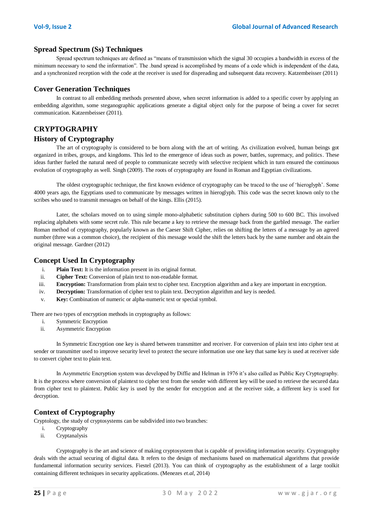## **Spread Spectrum (Ss) Techniques**

Spread spectrum techniques are defined as "means of transmission which the signal 30 occupies a bandwidth in excess of the minimum necessary to send the information". The .band spread is accomplished by means of a code which is independent of the data, and a synchronized reception with the code at the receiver is used for dispreading and subsequent data recovery. Katzembeisser (2011)

#### **Cover Generation Techniques**

In contrast to all embedding methods presented above, when secret information is added to a specific cover by applying an embedding algorithm, some steganographic applications generate a digital object only for the purpose of being a cover for secret communication. Katzembeisser (2011).

# **CRYPTOGRAPHY**

#### **History of Cryptography**

The art of cryptography is considered to be born along with the art of writing. As civilization evolved, human beings got organized in tribes, groups, and kingdoms. This led to the emergence of ideas such as power, battles, supremacy, and politics. These ideas further fueled the natural need of people to communicate secretly with selective recipient which in turn ensured the continuous evolution of cryptography as well. Singh (2009). The roots of cryptography are found in Roman and Egyptian civilizations.

The oldest cryptographic technique, the first known evidence of cryptography can be traced to the use of "hieroglyph". Some 4000 years ago, the Egyptians used to communicate by messages written in hieroglyph. This code was the secret known only to the scribes who used to transmit messages on behalf of the kings. Ellis (2015).

Later, the scholars moved on to using simple mono-alphabetic substitution ciphers during 500 to 600 BC. This involved replacing alphabets with some secret rule. This rule became a key to retrieve the message back from the garbled message. The earlier Roman method of cryptography, popularly known as the Caeser Shift Cipher, relies on shifting the letters of a message by an agreed number (three was a common choice), the recipient of this message would the shift the letters back by the same number and obtain the original message. Gardner (2012)

#### **Concept Used In Cryptography**

- i. **Plain Text:** It is the information present in its original format.
- ii. **Cipher Text:** Conversion of plain text to non-readable format.
- iii. **Encryption:** Transformation from plain text to cipher text. Encryption algorithm and a key are important in encryption.
- iv. **Decryption:** Transformation of cipher text to plain text. Decryption algorithm and key is needed.
- v. **Key:** Combination of numeric or alpha-numeric text or special symbol.

There are two types of encryption methods in cryptography as follows:

- i. Symmetric Encryption
- ii. Asymmetric Encryption

In Symmetric Encryption one key is shared between transmitter and receiver. For conversion of plain text into cipher text at sender or transmitter used to improve security level to protect the secure information use one key that same key is used at receiver side to convert cipher text to plain text.

In Asymmetric Encryption system was developed by Diffie and Helman in 1976 it's also called as Public Key Cryptography. It is the process where conversion of plaintext to cipher text from the sender with different key will be used to retrieve the secured data from cipher text to plaintext. Public key is used by the sender for encryption and at the receiver side, a different key is used for decryption.

# **Context of Cryptography**

Cryptology, the study of cryptosystems can be subdivided into two branches:

- i. Cryptography
- ii. Cryptanalysis

Cryptography is the art and science of making cryptosystem that is capable of providing information security. Cryptography deals with the actual securing of digital data. It refers to the design of mechanisms based on mathematical algorithms that provide fundamental information security services. Fiestel (2013). You can think of cryptography as the establishment of a large toolkit containing different techniques in security applications. (Menezes *et.al*, 2014)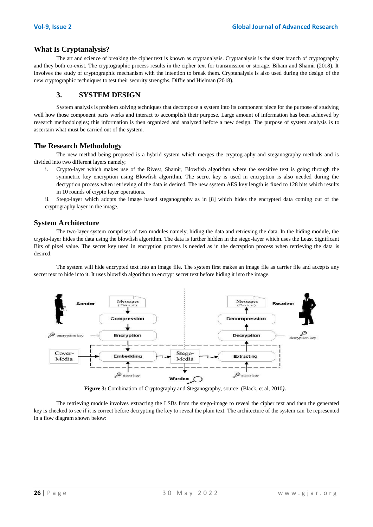#### **What Is Cryptanalysis?**

The art and science of breaking the cipher text is known as cryptanalysis. Cryptanalysis is the sister branch of cryptography and they both co-exist. The cryptographic process results in the cipher text for transmission or storage. Biham and Shamir (2018). It involves the study of cryptographic mechanism with the intention to break them. Cryptanalysis is also used during the design of the new cryptographic techniques to test their security strengths. Diffie and Hielman (2018).

## **3. SYSTEM DESIGN**

System analysis is problem solving techniques that decompose a system into its component piece for the purpose of studying well how those component parts works and interact to accomplish their purpose. Large amount of information has been achieved by research methodologies; this information is then organized and analyzed before a new design. The purpose of system analysis is to ascertain what must be carried out of the system.

#### **The Research Methodology**

The new method being proposed is a hybrid system which merges the cryptography and steganography methods and is divided into two different layers namely;

- i. Crypto-layer which makes use of the Rivest, Shamir, Blowfish algorithm where the sensitive text is going through the symmetric key encryption using Blowfish algorithm. The secret key is used in encryption is also needed during the decryption process when retrieving of the data is desired. The new system AES key length is fixed to 128 bits which results in 10 rounds of crypto layer operations.
- ii. Stego-layer which adopts the image based steganography as in [8] which hides the encrypted data coming out of the cryptography layer in the image.

#### **System Architecture**

The two-layer system comprises of two modules namely; hiding the data and retrieving the data. In the hiding module, the crypto-layer hides the data using the blowfish algorithm. The data is further hidden in the stego-layer which uses the Least Significant Bits of pixel value. The secret key used in encryption process is needed as in the decryption process when retrieving the data is desired.

The system will hide encrypted text into an image file. The system first makes an image file as carrier file and accepts any secret text to hide into it. It uses blowfish algorithm to encrypt secret text before hiding it into the image.



**Figure 3:** Combination of Cryptography and Steganography, source: (Black, et al, 2010*).*

The retrieving module involves extracting the LSBs from the stego-image to reveal the cipher text and then the generated key is checked to see if it is correct before decrypting the key to reveal the plain text. The architecture of the system can be represented in a flow diagram shown below: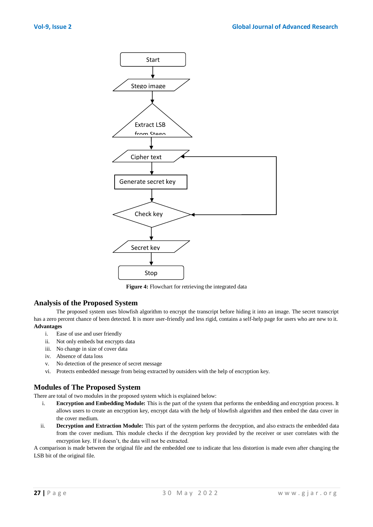

**Figure 4:** Flowchart for retrieving the integrated data

#### **Analysis of the Proposed System**

The proposed system uses blowfish algorithm to encrypt the transcript before hiding it into an image. The secret transcript has a zero percent chance of been detected. It is more user-friendly and less rigid, contains a self-help page for users who are new to it. **Advantages**

- i. Ease of use and user friendly
- ii. Not only embeds but encrypts data
- iii. No change in size of cover data
- iv. Absence of data loss
- v. No detection of the presence of secret message
- vi. Protects embedded message from being extracted by outsiders with the help of encryption key.

## **Modules of The Proposed System**

There are total of two modules in the proposed system which is explained below:

- i. **Encryption and Embedding Module:** This is the part of the system that performs the embedding and encryption process. It allows users to create an encryption key, encrypt data with the help of blowfish algorithm and then embed the data cover in the cover medium.
- ii. **Decryption and Extraction Module:** This part of the system performs the decryption, and also extracts the embedded data from the cover medium. This module checks if the decryption key provided by the receiver or user correlates with the encryption key. If it doesn"t, the data will not be extracted.

A comparison is made between the original file and the embedded one to indicate that less distortion is made even after changing the LSB bit of the original file.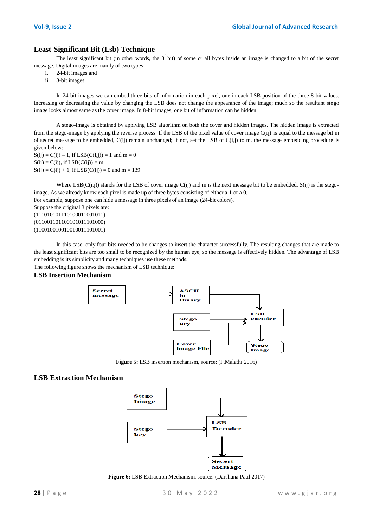## **Least-Significant Bit (Lsb) Technique**

The least significant bit (in other words, the  $8<sup>th</sup>bit$ ) of some or all bytes inside an image is changed to a bit of the secret message. Digital images are mainly of two types:

- i. 24-bit images and
- ii. 8-bit images

In 24-bit images we can embed three bits of information in each pixel, one in each LSB position of the three 8-bit values. Increasing or decreasing the value by changing the LSB does not change the appearance of the image; much so the resultant stego image looks almost same as the cover image. In 8-bit images, one bit of information can be hidden.

A stego-image is obtained by applying LSB algorithm on both the cover and hidden images. The hidden image is extracted from the stego-image by applying the reverse process. If the LSB of the pixel value of cover image C(ij) is equal to the message bit m of secret message to be embedded,  $C(ij)$  remain unchanged; if not, set the LSB of  $C(i,j)$  to m. the message embedding procedure is given below:

 $S(ij) = C(ij) - 1$ , if  $LSB(C(I, j)) = 1$  and  $m = 0$  $S(ij) = C(ij)$ , if  $LSB(C(ij)) = m$  $S(ij) = C(ij) + 1$ , if  $LSB(C(ij)) = 0$  and m = 139

Where  $LSB(C(i,j))$  stands for the LSB of cover image  $C(ij)$  and m is the next message bit to be embedded. S(ij) is the stegoimage. As we already know each pixel is made up of three bytes consisting of either a 1 or a 0.

For example, suppose one can hide a message in three pixels of an image (24-bit colors).

Suppose the original 3 pixels are: (111010101110100011001011) (011001101100101011101000) (110010010010010011101001)

In this case, only four bits needed to be changes to insert the character successfully. The resulting changes that are made to the least significant bits are too small to be recognized by the human eye, so the message is effectively hidden. The advantage of LSB embedding is its simplicity and many techniques use these methods.

The following figure shows the mechanism of LSB technique:

#### **LSB Insertion Mechanism**



**Figure 5:** LSB insertion mechanism, source: (P.Malathi 2016)

#### **LSB Extraction Mechanism**



**Figure 6:** LSB Extraction Mechanism, source: (Darshana Patil 2017)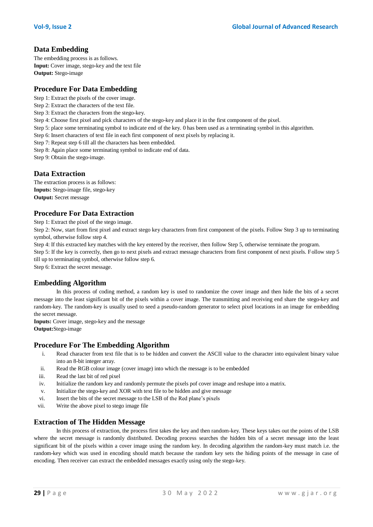## **Data Embedding**

The embedding process is as follows. **Input:** Cover image, stego-key and the text file **Output:** Stego-image

# **Procedure For Data Embedding**

- Step 1: Extract the pixels of the cover image.
- Step 2: Extract the characters of the text file.
- Step 3: Extract the characters from the stego-key.
- Step 4: Choose first pixel and pick characters of the stego-key and place it in the first component of the pixel.
- Step 5: place some terminating symbol to indicate end of the key. 0 has been used as a terminating symbol in this algorithm.
- Step 6: Insert characters of text file in each first component of next pixels by replacing it.
- Step 7: Repeat step 6 till all the characters has been embedded.
- Step 8: Again place some terminating symbol to indicate end of data.

Step 9: Obtain the stego-image.

## **Data Extraction**

The extraction process is as follows: **Inputs:** Stego-image file, stego-key **Output:** Secret message

# **Procedure For Data Extraction**

Step 1: Extract the pixel of the stego image.

Step 2: Now, start from first pixel and extract stego key characters from first component of the pixels. Follow Step 3 up to terminating symbol, otherwise follow step 4.

Step 4: If this extracted key matches with the key entered by the receiver, then follow Step 5, otherwise terminate the program.

Step 5: If the key is correctly, then go to next pixels and extract message characters from first component of next pixels. Follow step 5 till up to terminating symbol, otherwise follow step 6.

Step 6: Extract the secret message.

## **Embedding Algorithm**

In this process of coding method, a random key is used to randomize the cover image and then hide the bits of a secret message into the least significant bit of the pixels within a cover image. The transmitting and receiving end share the stego-key and random-key. The random-key is usually used to seed a pseudo-random generator to select pixel locations in an image for embedding the secret message.

**Inputs:** Cover image, stego-key and the message **Output:**Stego-image

## **Procedure For The Embedding Algorithm**

- i. Read character from text file that is to be hidden and convert the ASCII value to the character into equivalent binary value into an 8-bit integer array.
- ii. Read the RGB colour image (cover image) into which the message is to be embedded
- iii. Read the last bit of red pixel
- iv. Initialize the random key and randomly permute the pixels pof cover image and reshape into a matrix.
- v. Initialize the stego-key and XOR with text file to be hidden and give message
- vi. Insert the bits of the secret message to the LSB of the Red plane"s pixels
- vii. Write the above pixel to stego image file

#### **Extraction of The Hidden Message**

In this process of extraction, the process first takes the key and then random-key. These keys takes out the points of the LSB where the secret message is randomly distributed. Decoding process searches the hidden bits of a secret message into the least significant bit of the pixels within a cover image using the random key. In decoding algorithm the random-key must match i.e. the random-key which was used in encoding should match because the random key sets the hiding points of the message in case of encoding. Then receiver can extract the embedded messages exactly using only the stego-key.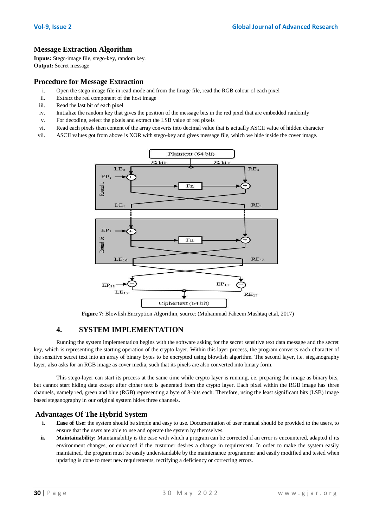## **Message Extraction Algorithm**

**Inputs:** Stego-image file, stego-key, random key. **Output:** Secret message

#### **Procedure for Message Extraction**

- i. Open the stego image file in read mode and from the Image file, read the RGB colour of each pixel
- ii. Extract the red component of the host image
- iii. Read the last bit of each pixel
- iv. Initialize the random key that gives the position of the message bits in the red pixel that are embedded randomly
- v. For decoding, select the pixels and extract the LSB value of red pixels
- vi. Read each pixels then content of the array converts into decimal value that is actually ASCII value of hidden character
- vii. ASCII values got from above is XOR with stego-key and gives message file, which we hide inside the cover image.



**Figure 7:** Blowfish Encryption Algorithm, source: (Muhammad Faheem Mushtaq et.al, 2017)

## **4. SYSTEM IMPLEMENTATION**

Running the system implementation begins with the software asking for the secret sensitive text data message and the secret key, which is representing the starting operation of the crypto layer. Within this layer process, the program converts each character of the sensitive secret text into an array of binary bytes to be encrypted using blowfish algorithm. The second layer, i.e. steganography layer, also asks for an RGB image as cover media, such that its pixels are also converted into binary form.

This stego-layer can start its process at the same time while crypto layer is running, i.e. preparing the image as binary bits, but cannot start hiding data except after cipher text is generated from the crypto layer. Each pixel within the RGB image has three channels, namely red, green and blue (RGB) representing a byte of 8-bits each. Therefore, using the least significant bits (LSB) image based steganography in our original system hides three channels.

#### **Advantages Of The Hybrid System**

- **i. Ease of Use:** the system should be simple and easy to use. Documentation of user manual should be provided to the users, to ensure that the users are able to use and operate the system by themselves.
- **ii.** Maintainability: Maintainability is the ease with which a program can be corrected if an error is encountered, adapted if its environment changes, or enhanced if the customer desires a change in requirement. In order to make the system easily maintained, the program must be easily understandable by the maintenance programmer and easily modified and tested when updating is done to meet new requirements, rectifying a deficiency or correcting errors.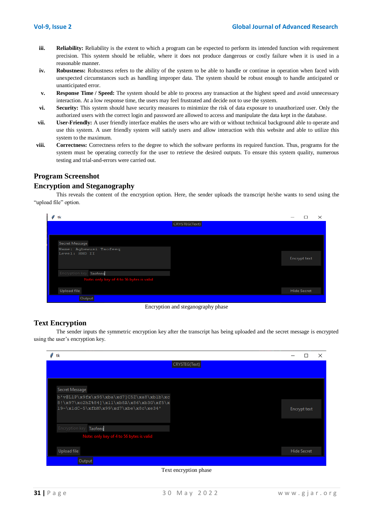- **iii. Reliability:** Reliability is the extent to which a program can be expected to perform its intended function with requirement precision. This system should be reliable, where it does not produce dangerous or costly failure when it is used in a reasonable manner.
- **iv. Robustness:** Robustness refers to the ability of the system to be able to handle or continue in operation when faced with unexpected circumstances such as handling improper data. The system should be robust enough to handle anticipated or unanticipated error.
- **v. Response Time / Speed:** The system should be able to process any transaction at the highest speed and avoid unnecessary interaction. At a low response time, the users may feel frustrated and decide not to use the system.
- **vi. Security:** This system should have security measures to minimize the risk of data exposure to unauthorized user. Only the authorized users with the correct login and password are allowed to access and manipulate the data kept in the database.
- **vii. User-Friendly:** A user friendly interface enables the users who are with or without technical background able to operate and use this system. A user friendly system will satisfy users and allow interaction with this website and able to utilize this system to the maximum.
- **viii. Correctness:** Correctness refers to the degree to which the software performs its required function. Thus, programs for the system must be operating correctly for the user to retrieve the desired outputs. To ensure this system quality, numerous testing and trial-and-errors were carried out.

# **Program Screenshot**

#### **Encryption and Steganography**

This reveals the content of the encryption option. Here, the sender uploads the transcript he/she wants to send using the "upload file" option.

| tk                                       | $\times$           |
|------------------------------------------|--------------------|
| CRYSTEG(Text)                            |                    |
|                                          |                    |
| Secret Message                           |                    |
| Name: Agbewusi Taofeeq<br>Level: HND II  | Encrypt text       |
| Encryption key Taofeed                   |                    |
| Note: only key of 4 to 56 bytes is valid |                    |
| <b>Upload file</b>                       | <b>Hide Secret</b> |
| Output                                   |                    |

Encryption and steganography phase

## **Text Encryption**

The sender inputs the symmetric encryption key after the transcript has being uploaded and the secret message is encrypted using the user's encryption key.

| tk                                                                                | ×                  |
|-----------------------------------------------------------------------------------|--------------------|
| CRYSTEG(Text)                                                                     |                    |
|                                                                                   |                    |
|                                                                                   |                    |
| Secret Message                                                                    |                    |
| b'v@LlP\x9fx\x95\xba\xd7]C5Z\xa8\xblb\xc                                          |                    |
| 8!\x97\xc2hZ%84]\x11\xb8A\x86\xb3G\xf5\x<br>19~\xldC-5\xfbM\x99\xd7\xbe\x8c\xe34' | Encrypt text       |
|                                                                                   |                    |
| Encryption key Taofeed                                                            |                    |
| Note: only key of 4 to 56 bytes is valid                                          |                    |
|                                                                                   |                    |
| <b>Upload file</b>                                                                | <b>Hide Secret</b> |
| Output                                                                            |                    |

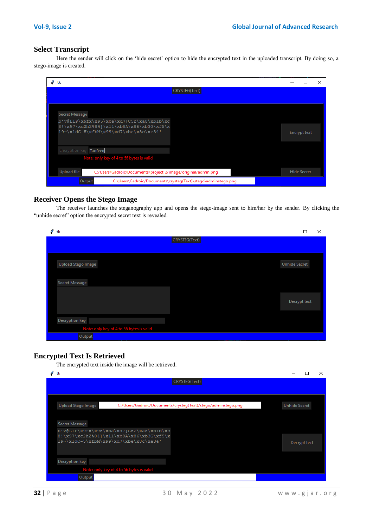## **Select Transcript**

Here the sender will click on the 'hide secret' option to hide the encrypted text in the uploaded transcript. By doing so, a stego-image is created.

| tk                                                                                                                            |                    |
|-------------------------------------------------------------------------------------------------------------------------------|--------------------|
| CRYSTEG(Text)                                                                                                                 |                    |
|                                                                                                                               |                    |
| Secret Message                                                                                                                |                    |
| b'v@LlP\x9fx\x95\xba\xd7]C5Z\xa8\xblb\xc<br>8!\x97\xc2hZ%84]\x11\xb8A\x86\xb3G\xf5\x<br>19~\x1dC-5\xfbM\x99\xd7\xbe\x8c\xe34' | Encrypt text       |
| Encryption key Taofeed                                                                                                        |                    |
| Note: only key of 4 to 56 bytes is valid                                                                                      |                    |
| <b>Upload file</b><br>C:/Users/Gadroic/Documents/project_2/image/original/admin.png                                           | <b>Hide Secret</b> |
| Output<br>C:\Users\Gadroic/Documents\crysteg(Text)\stego\adminstego.png                                                       |                    |

#### **Receiver Opens the Stego Image**

The receiver launches the steganography app and opens the stego-image sent to him/her by the sender. By clicking the "unhide secret" option the encrypted secret text is revealed.

| 0<br>tk                                  | $\times$<br>П        |
|------------------------------------------|----------------------|
|                                          | CRYSTEG(Text)        |
|                                          |                      |
| Upload Stego Image                       | <b>Unhide Secret</b> |
| Secret Message                           |                      |
|                                          | Decrypt text         |
| Decryption key                           |                      |
| Note: only key of 4 to 56 bytes is valid |                      |
| Output                                   |                      |

## **Encrypted Text Is Retrieved**

The encrypted text inside the image will be retrieved.

| $\mathscr{O}$ tk                      |                                                                                      | $\times$             |
|---------------------------------------|--------------------------------------------------------------------------------------|----------------------|
|                                       | CRYSTEG(Text)                                                                        |                      |
|                                       |                                                                                      |                      |
| Upload Stego Image                    | C:/Users/Gadroic/Documents/crysteg(Text)/stego/adminstego.png                        | <b>Unhide Secret</b> |
|                                       |                                                                                      |                      |
| Secret Message                        |                                                                                      |                      |
|                                       | b'v@LlP\x9fx\x95\xba\xd7]C5Z\xa8\xblb\xc<br>8!\x97\xc2hZ%84]\x11\xb8A\x86\xb3G\xf5\x |                      |
| 19~\x1dC-5\xfbM\x99\xd7\xbe\x8c\xe34' | Decrypt text                                                                         |                      |
|                                       |                                                                                      |                      |
| Decryption key                        |                                                                                      |                      |
|                                       | Note: only key of 4 to 56 bytes is valid                                             |                      |
| Output                                |                                                                                      |                      |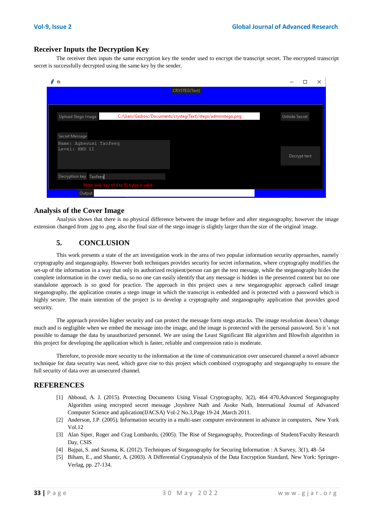#### **Receiver Inputs the Decryption Key**

The receiver then inputs the same encryption key the sender used to encrypt the transcript secret. The encrypted transcript secret is successfully decrypted using the same key by the sender.

| tk                                                                                  | ×                    |
|-------------------------------------------------------------------------------------|----------------------|
| CRYSTEG(Text)                                                                       |                      |
|                                                                                     |                      |
|                                                                                     |                      |
| C:/Users/Gadroic/Documents/crysteg(Text)/stego/adminstego.png<br>Upload Stego Image | <b>Unhide Secret</b> |
|                                                                                     |                      |
| Secret Message                                                                      |                      |
| Name: Agbewusi Taofeeq<br>Level: HND II                                             |                      |
|                                                                                     | Decrypt text         |
|                                                                                     |                      |
|                                                                                     |                      |
| Decryption key Taofeed                                                              |                      |
| Note: only key of 4 to 56 bytes is valid                                            |                      |
| Output                                                                              |                      |

#### **Analysis of the Cover Image**

Analysis shows that there is no physical difference between the image before and after steganography, however the image extension changed from .jpg to .png, also the final size of the stego image is slightly larger than the size of the original image.

## **5. CONCLUSION**

This work presents a state of the art investigation work in the area of two popular information security approaches, namely cryptography and steganography. However both techniques provides security for secret information, where cryptography modifies the set-up of the information in a way that only its authorized recipient/person can get the text message, while the steganography hides the complete information in the cover media, so no one can easily identify that any message is hidden in the presented content but no one standalone approach is so good for practice. The approach in this project uses a new steganographic approach called image steganography, the application creates a stego image in which the transcript is embedded and is protected with a password which is highly secure. The main intention of the project is to develop a cryptography and steganography application that provides good security.

The approach provides higher security and can protect the message form stego attacks. The image resolution doesn"t change much and is negligible when we embed the message into the image, and the image is protected with the personal password. So it"s not possible to damage the data by unauthorized personnel. We are using the Least Significant Bit algorithm and Blowfish algorithm in this project for developing the application which is faster, reliable and compression ratio is moderate.

Therefore, to provide more security to the information at the time of communication over unsecured channel a novel advance technique for data security was need, which gave rise to this project which combined cryptography and steganography to ensure the full security of data over an unsecured channel.

#### **REFERENCES**

- [1] Abboud, A. J. (2015). Protecting Documents Using Visual Cryptography, 3(2), 464–470.Advanced Steganography Algorithm using encrypted secret message ,Joyshree Nath and Asoke Nath, International Journal of Advanced Computer Science and aplication(IJACSA) Vol-2 No.3,Page 19-24 ,March 2011.
- [2] Anderson, J.P. (2005). Information security in a multi-user computer environment in advance in computers, New York Vol.12
- [3] Alan Siper, Roger and Crag Lombardo, (2005). The Rise of Steganography, Proceedings of Student/Faculty Research Day, CSIS
- [4] Bajpai, S. and Saxena, K. (2012). Techniques of Steganography for Securing Information : A Survey, 3(1), 48–54
- [5] Biham, E., and Shamir, A. (2003). A Differential Cryptanalysis of the Data Encryption Standard, New York: Springer-Verlag, pp. 27-134.